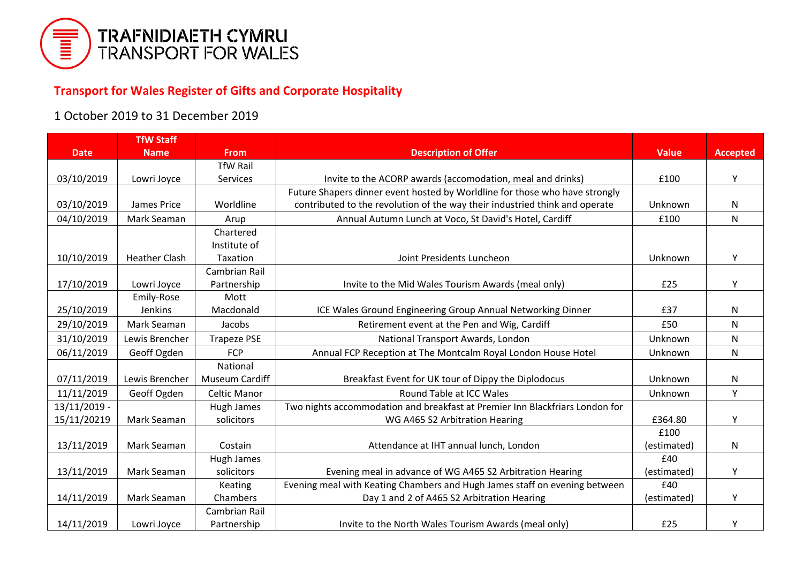

## **Transport for Wales Register of Gifts and Corporate Hospitality**

## 1 October 2019 to 31 December 2019

|                | <b>TfW Staff</b>     |                     |                                                                              |              |                 |
|----------------|----------------------|---------------------|------------------------------------------------------------------------------|--------------|-----------------|
| <b>Date</b>    | <b>Name</b>          | <b>From</b>         | <b>Description of Offer</b>                                                  | <b>Value</b> | <b>Accepted</b> |
|                |                      | <b>TfW Rail</b>     |                                                                              |              |                 |
| 03/10/2019     | Lowri Joyce          | Services            | Invite to the ACORP awards (accomodation, meal and drinks)                   | £100         | Y               |
|                |                      |                     | Future Shapers dinner event hosted by Worldline for those who have strongly  |              |                 |
| 03/10/2019     | James Price          | Worldline           | contributed to the revolution of the way their industried think and operate  | Unknown      | ${\sf N}$       |
| 04/10/2019     | Mark Seaman          | Arup                | Annual Autumn Lunch at Voco, St David's Hotel, Cardiff                       | £100         | $\mathsf{N}$    |
|                |                      | Chartered           |                                                                              |              |                 |
|                |                      | Institute of        |                                                                              |              |                 |
| 10/10/2019     | <b>Heather Clash</b> | Taxation            | Joint Presidents Luncheon                                                    | Unknown      | Y               |
|                |                      | Cambrian Rail       |                                                                              |              |                 |
| 17/10/2019     | Lowri Joyce          | Partnership         | Invite to the Mid Wales Tourism Awards (meal only)                           | £25          | Υ               |
|                | Emily-Rose           | Mott                |                                                                              |              |                 |
| 25/10/2019     | Jenkins              | Macdonald           | ICE Wales Ground Engineering Group Annual Networking Dinner                  | £37          | N               |
| 29/10/2019     | Mark Seaman          | Jacobs              | Retirement event at the Pen and Wig, Cardiff                                 | £50          | N               |
| 31/10/2019     | Lewis Brencher       | <b>Trapeze PSE</b>  | National Transport Awards, London                                            | Unknown      | N               |
| 06/11/2019     | Geoff Ogden          | <b>FCP</b>          | Annual FCP Reception at The Montcalm Royal London House Hotel                | Unknown      | N               |
|                |                      | National            |                                                                              |              |                 |
| 07/11/2019     | Lewis Brencher       | Museum Cardiff      | Breakfast Event for UK tour of Dippy the Diplodocus                          | Unknown      | ${\sf N}$       |
| 11/11/2019     | Geoff Ogden          | <b>Celtic Manor</b> | Round Table at ICC Wales                                                     | Unknown      | Y               |
| $13/11/2019$ - |                      | <b>Hugh James</b>   | Two nights accommodation and breakfast at Premier Inn Blackfriars London for |              |                 |
| 15/11/20219    | Mark Seaman          | solicitors          | WG A465 S2 Arbitration Hearing                                               | £364.80      | Y               |
|                |                      |                     |                                                                              | £100         |                 |
| 13/11/2019     | Mark Seaman          | Costain             | Attendance at IHT annual lunch, London                                       | (estimated)  | N               |
|                |                      | Hugh James          |                                                                              | £40          |                 |
| 13/11/2019     | Mark Seaman          | solicitors          | Evening meal in advance of WG A465 S2 Arbitration Hearing                    | (estimated)  | Y               |
|                |                      | Keating             | Evening meal with Keating Chambers and Hugh James staff on evening between   | £40          |                 |
| 14/11/2019     | Mark Seaman          | Chambers            | Day 1 and 2 of A465 S2 Arbitration Hearing                                   | (estimated)  | Y               |
|                |                      | Cambrian Rail       |                                                                              |              |                 |
| 14/11/2019     | Lowri Joyce          | Partnership         | Invite to the North Wales Tourism Awards (meal only)                         | £25          | Υ               |